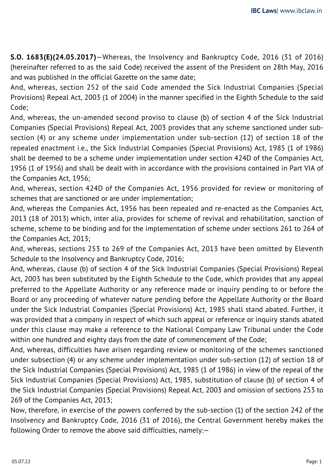**S.O. 1683(E)(24.05.2017)**—Whereas, the Insolvency and Bankruptcy Code, 2016 (31 of 2016) (hereinafter referred to as the said Code) received the assent of the President on 28th May, 2016 and was published in the official Gazette on the same date;

And, whereas, section 252 of the said Code amended the Sick Industrial Companies (Special Provisions) Repeal Act, 2003 (1 of 2004) in the manner specified in the Eighth Schedule to the said Code;

And, whereas, the un-amended second proviso to clause (b) of section 4 of the Sick Industrial Companies (Special Provisions) Repeal Act, 2003 provides that any scheme sanctioned under subsection (4) or any scheme under implementation under sub-section (12) of section 18 of the repealed enactment i.e., the Sick Industrial Companies (Special Provisions) Act, 1985 (1 of 1986) shall be deemed to be a scheme under implementation under section 424D of the Companies Act, 1956 (1 of 1956) and shall be dealt with in accordance with the provisions contained in Part VIA of the Companies Act, 1956;

And, whereas, section 424D of the Companies Act, 1956 provided for review or monitoring of schemes that are sanctioned or are under implementation;

And, whereas the Companies Act, 1956 has been repealed and re-enacted as the Companies Act, 2013 (18 of 2013) which, inter alia, provides for scheme of revival and rehabilitation, sanction of scheme, scheme to be binding and for the implementation of scheme under sections 261 to 264 of the Companies Act, 2013;

And, whereas, sections 253 to 269 of the Companies Act, 2013 have been omitted by Eleventh Schedule to the Insolvency and Bankruptcy Code, 2016;

And, whereas, clause (b) of section 4 of the Sick Industrial Companies (Special Provisions) Repeal Act, 2003 has been substituted by the Eighth Schedule to the Code, which provides that any appeal preferred to the Appellate Authority or any reference made or inquiry pending to or before the Board or any proceeding of whatever nature pending before the Appellate Authority or the Board under the Sick Industrial Companies (Special Provisions) Act, 1985 shall stand abated. Further, it was provided that a company in respect of which such appeal or reference or inquiry stands abated under this clause may make a reference to the National Company Law Tribunal under the Code within one hundred and eighty days from the date of commencement of the Code;

And, whereas, difficulties have arisen regarding review or monitoring of the schemes sanctioned under subsection (4) or any scheme under implementation under sub-section (12) of section 18 of the Sick Industrial Companies (Special Provisions) Act, 1985 (1 of 1986) in view of the repeal of the Sick Industrial Companies (Special Provisions) Act, 1985, substitution of clause (b) of section 4 of the Sick Industrial Companies (Special Provisions) Repeal Act, 2003 and omission of sections 253 to 269 of the Companies Act, 2013;

Now, therefore, in exercise of the powers conferred by the sub-section (1) of the section 242 of the Insolvency and Bankruptcy Code, 2016 (31 of 2016), the Central Government hereby makes the following Order to remove the above said difficulties, namely:—